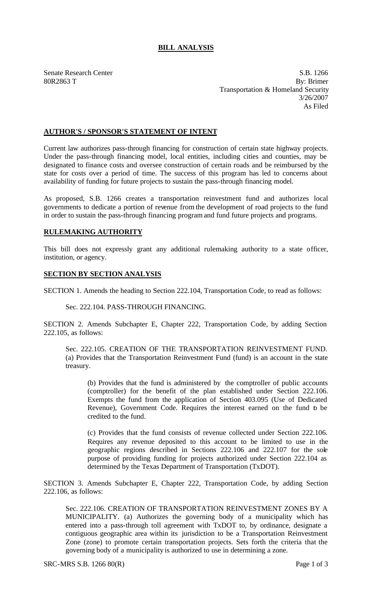## **BILL ANALYSIS**

Senate Research Center S.B. 1266 80R2863 T By: Brimer Transportation & Homeland Security 3/26/2007 As Filed

## **AUTHOR'S / SPONSOR'S STATEMENT OF INTENT**

Current law authorizes pass-through financing for construction of certain state highway projects. Under the pass-through financing model, local entities, including cities and counties, may be designated to finance costs and oversee construction of certain roads and be reimbursed by the state for costs over a period of time. The success of this program has led to concerns about availability of funding for future projects to sustain the pass-through financing model.

As proposed, S.B. 1266 creates a transportation reinvestment fund and authorizes local governments to dedicate a portion of revenue from the development of road projects to the fund in order to sustain the pass-through financing program and fund future projects and programs.

## **RULEMAKING AUTHORITY**

This bill does not expressly grant any additional rulemaking authority to a state officer, institution, or agency.

## **SECTION BY SECTION ANALYSIS**

SECTION 1. Amends the heading to Section 222.104, Transportation Code, to read as follows:

Sec. 222.104. PASS-THROUGH FINANCING.

SECTION 2. Amends Subchapter E, Chapter 222, Transportation Code, by adding Section 222.105, as follows:

Sec. 222.105. CREATION OF THE TRANSPORTATION REINVESTMENT FUND. (a) Provides that the Transportation Reinvestment Fund (fund) is an account in the state treasury.

(b) Provides that the fund is administered by the comptroller of public accounts (comptroller) for the benefit of the plan established under Section 222.106. Exempts the fund from the application of Section 403.095 (Use of Dedicated Revenue), Government Code. Requires the interest earned on the fund to be credited to the fund.

(c) Provides that the fund consists of revenue collected under Section 222.106. Requires any revenue deposited to this account to be limited to use in the geographic regions described in Sections 222.106 and 222.107 for the sole purpose of providing funding for projects authorized under Section 222.104 as determined by the Texas Department of Transportation (TxDOT).

SECTION 3. Amends Subchapter E, Chapter 222, Transportation Code, by adding Section 222.106, as follows:

Sec. 222.106. CREATION OF TRANSPORTATION REINVESTMENT ZONES BY A MUNICIPALITY. (a) Authorizes the governing body of a municipality which has entered into a pass-through toll agreement with TxDOT to, by ordinance, designate a contiguous geographic area within its jurisdiction to be a Transportation Reinvestment Zone (zone) to promote certain transportation projects. Sets forth the criteria that the governing body of a municipality is authorized to use in determining a zone.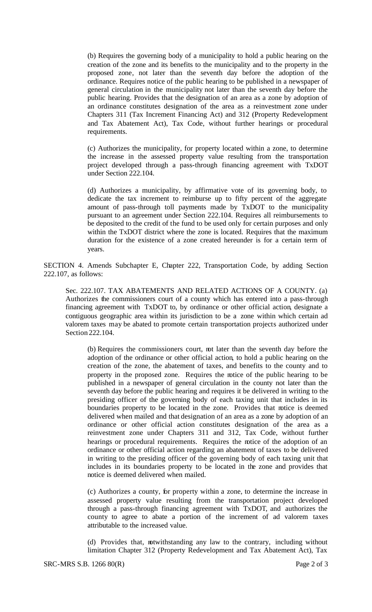(b) Requires the governing body of a municipality to hold a public hearing on the creation of the zone and its benefits to the municipality and to the property in the proposed zone, not later than the seventh day before the adoption of the ordinance. Requires notice of the public hearing to be published in a newspaper of general circulation in the municipality not later than the seventh day before the public hearing. Provides that the designation of an area as a zone by adoption of an ordinance constitutes designation of the area as a reinvestment zone under Chapters 311 (Tax Increment Financing Act) and 312 (Property Redevelopment and Tax Abatement Act), Tax Code, without further hearings or procedural requirements.

(c) Authorizes the municipality, for property located within a zone, to determine the increase in the assessed property value resulting from the transportation project developed through a pass-through financing agreement with TxDOT under Section 222.104.

(d) Authorizes a municipality, by affirmative vote of its governing body, to dedicate the tax increment to reimburse up to fifty percent of the aggregate amount of pass-through toll payments made by TxDOT to the municipality pursuant to an agreement under Section 222.104. Requires all reimbursements to be deposited to the credit of the fund to be used only for certain purposes and only within the TxDOT district where the zone is located. Requires that the maximum duration for the existence of a zone created hereunder is for a certain term of years.

SECTION 4. Amends Subchapter E, Chapter 222, Transportation Code, by adding Section 222.107, as follows:

Sec. 222.107. TAX ABATEMENTS AND RELATED ACTIONS OF A COUNTY. (a) Authorizes the commissioners court of a county which has entered into a pass-through financing agreement with TxDOT to, by ordinance or other official action, designate a contiguous geographic area within its jurisdiction to be a zone within which certain ad valorem taxes may be abated to promote certain transportation projects authorized under Section 222.104.

(b) Requires the commissioners court, not later than the seventh day before the adoption of the ordinance or other official action, to hold a public hearing on the creation of the zone, the abatement of taxes, and benefits to the county and to property in the proposed zone. Requires the notice of the public hearing to be published in a newspaper of general circulation in the county not later than the seventh day before the public hearing and requires it be delivered in writing to the presiding officer of the governing body of each taxing unit that includes in its boundaries property to be located in the zone. Provides that notice is deemed delivered when mailed and that designation of an area as a zone by adoption of an ordinance or other official action constitutes designation of the area as a reinvestment zone under Chapters 311 and 312, Tax Code, without further hearings or procedural requirements. Requires the notice of the adoption of an ordinance or other official action regarding an abatement of taxes to be delivered in writing to the presiding officer of the governing body of each taxing unit that includes in its boundaries property to be located in the zone and provides that notice is deemed delivered when mailed.

(c) Authorizes a county, for property within a zone, to determine the increase in assessed property value resulting from the transportation project developed through a pass-through financing agreement with TxDOT, and authorizes the county to agree to abate a portion of the increment of ad valorem taxes attributable to the increased value.

(d) Provides that, notwithstanding any law to the contrary, including without limitation Chapter 312 (Property Redevelopment and Tax Abatement Act), Tax